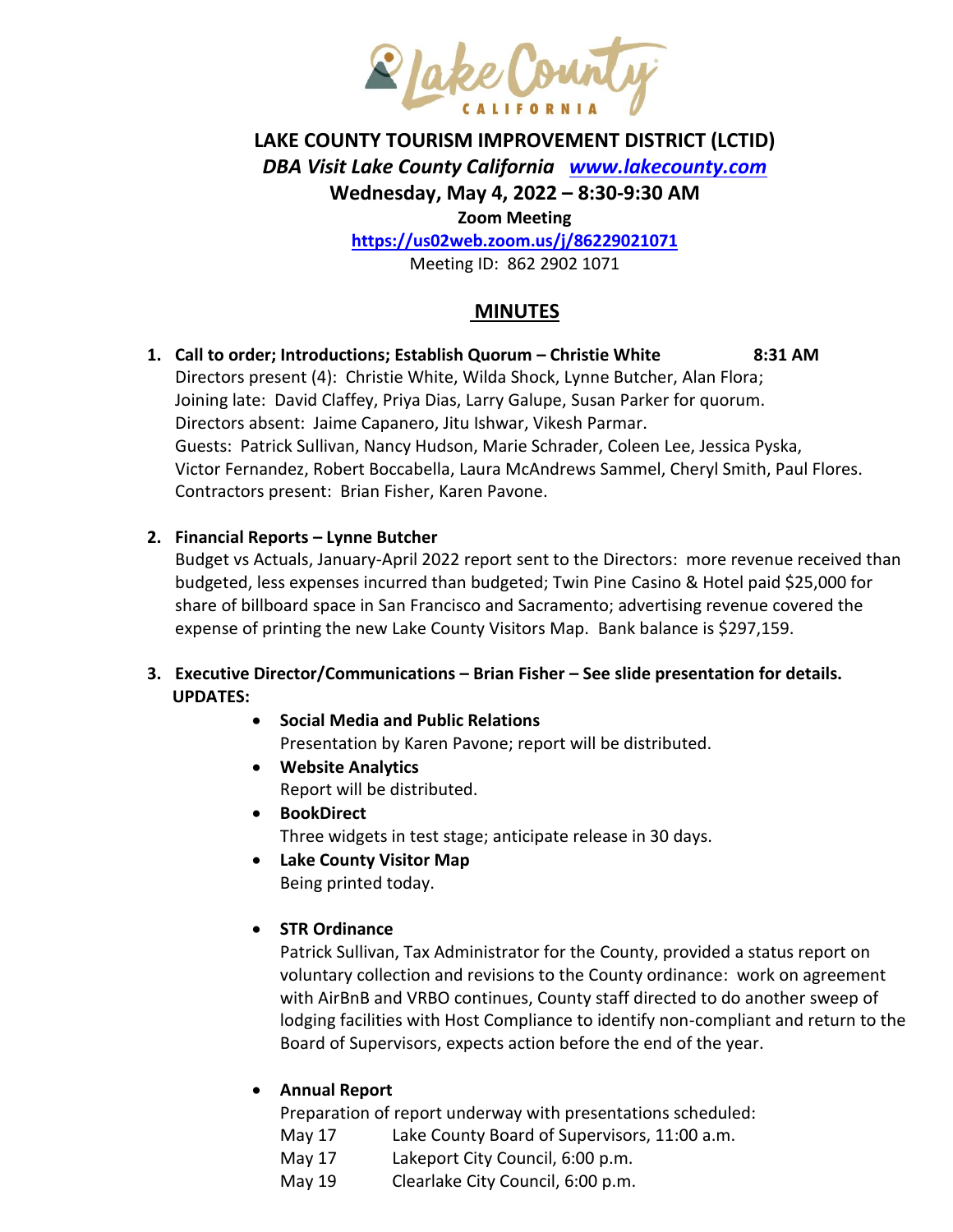

# **LAKE COUNTY TOURISM IMPROVEMENT DISTRICT (LCTID)** *DBA Visit Lake County California [www.lakecounty.com](http://www.lakecounty.com/)* **Wednesday, May 4, 2022 – 8:30-9:30 AM Zoom Meeting**

**<https://us02web.zoom.us/j/86229021071>** Meeting ID: 862 2902 1071

# **MINUTES**

**1. Call to order; Introductions; Establish Quorum – Christie White 8:31 AM** Directors present (4): Christie White, Wilda Shock, Lynne Butcher, Alan Flora; Joining late: David Claffey, Priya Dias, Larry Galupe, Susan Parker for quorum. Directors absent: Jaime Capanero, Jitu Ishwar, Vikesh Parmar. Guests: Patrick Sullivan, Nancy Hudson, Marie Schrader, Coleen Lee, Jessica Pyska, Victor Fernandez, Robert Boccabella, Laura McAndrews Sammel, Cheryl Smith, Paul Flores. Contractors present: Brian Fisher, Karen Pavone.

# **2. Financial Reports – Lynne Butcher**

Budget vs Actuals, January-April 2022 report sent to the Directors: more revenue received than budgeted, less expenses incurred than budgeted; Twin Pine Casino & Hotel paid \$25,000 for share of billboard space in San Francisco and Sacramento; advertising revenue covered the expense of printing the new Lake County Visitors Map. Bank balance is \$297,159.

#### **3. Executive Director/Communications – Brian Fisher – See slide presentation for details. UPDATES:**

**Social Media and Public Relations**

Presentation by Karen Pavone; report will be distributed.

- **Website Analytics** Report will be distributed.
- **BookDirect**  Three widgets in test stage; anticipate release in 30 days.
- **Lake County Visitor Map** Being printed today.

# **STR Ordinance**

Patrick Sullivan, Tax Administrator for the County, provided a status report on voluntary collection and revisions to the County ordinance: work on agreement with AirBnB and VRBO continues, County staff directed to do another sweep of lodging facilities with Host Compliance to identify non-compliant and return to the Board of Supervisors, expects action before the end of the year.

# **Annual Report**

Preparation of report underway with presentations scheduled:

- May 17 Lake County Board of Supervisors, 11:00 a.m.
- May 17 Lakeport City Council, 6:00 p.m.
- May 19 Clearlake City Council, 6:00 p.m.